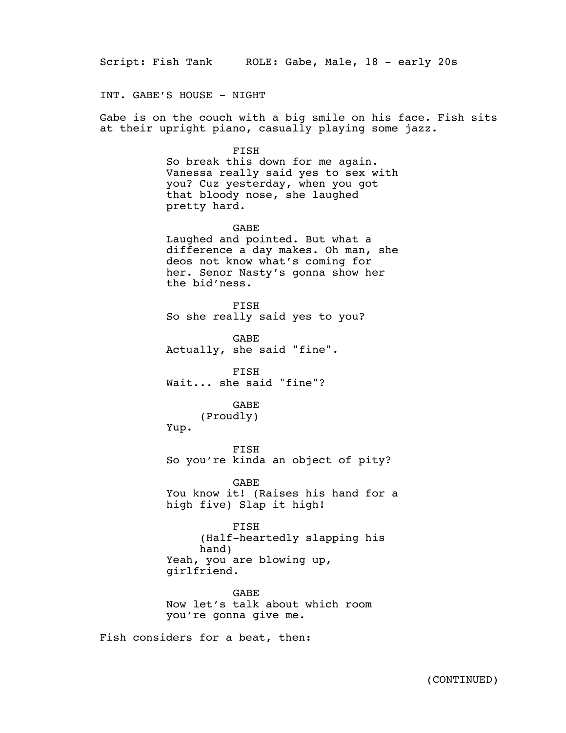Script: Fish Tank ROLE: Gabe, Male, 18 - early 20s INT. GABE'S HOUSE - NIGHT Gabe is on the couch with a big smile on his face. Fish sits at their upright piano, casually playing some jazz. FISH So break this down for me again. Vanessa really said yes to sex with you? Cuz yesterday, when you got that bloody nose, she laughed pretty hard. GABE Laughed and pointed. But what a difference a day makes. Oh man, she deos not know what's coming for her. Senor Nasty's gonna show her the bid'ness. FISH So she really said yes to you? GABE Actually, she said "fine". FISH Wait... she said "fine"? GABE (Proudly) Yup. FISH So you're kinda an object of pity? GABE You know it! (Raises his hand for a high five) Slap it high! FISH (Half-heartedly slapping his hand) Yeah, you are blowing up, girlfriend. GABE Now let's talk about which room you're gonna give me. Fish considers for a beat, then: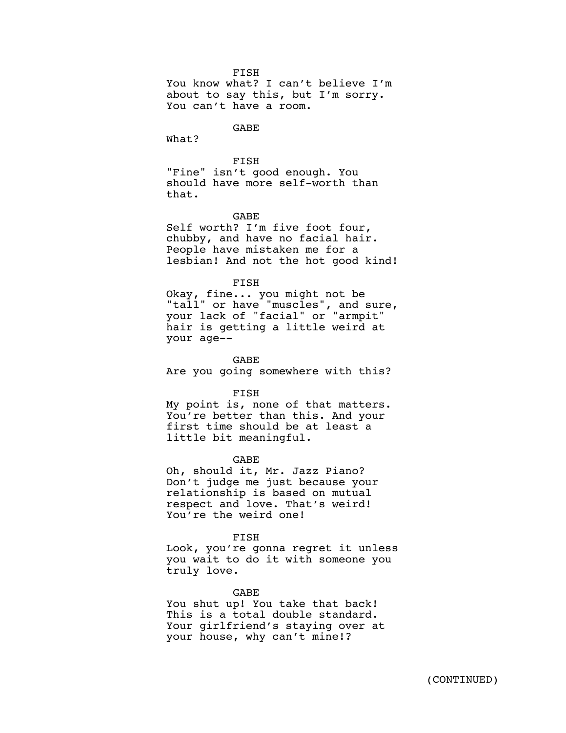FISH

You know what? I can't believe I'm about to say this, but I'm sorry. You can't have a room.

# **GABE**

What?

### FISH

"Fine" isn't good enough. You should have more self-worth than that.

## GABE

Self worth? I'm five foot four, chubby, and have no facial hair. People have mistaken me for a lesbian! And not the hot good kind!

## FISH

Okay, fine... you might not be "tall" or have "muscles", and sure, your lack of "facial" or "armpit" hair is getting a little weird at your age--

GABE

Are you going somewhere with this?

#### FISH

My point is, none of that matters. You're better than this. And your first time should be at least a little bit meaningful.

#### GABE

Oh, should it, Mr. Jazz Piano? Don't judge me just because your relationship is based on mutual respect and love. That's weird! You're the weird one!

## FISH

Look, you're gonna regret it unless you wait to do it with someone you truly love.

## GABE

You shut up! You take that back! This is a total double standard. Your girlfriend's staying over at your house, why can't mine!?